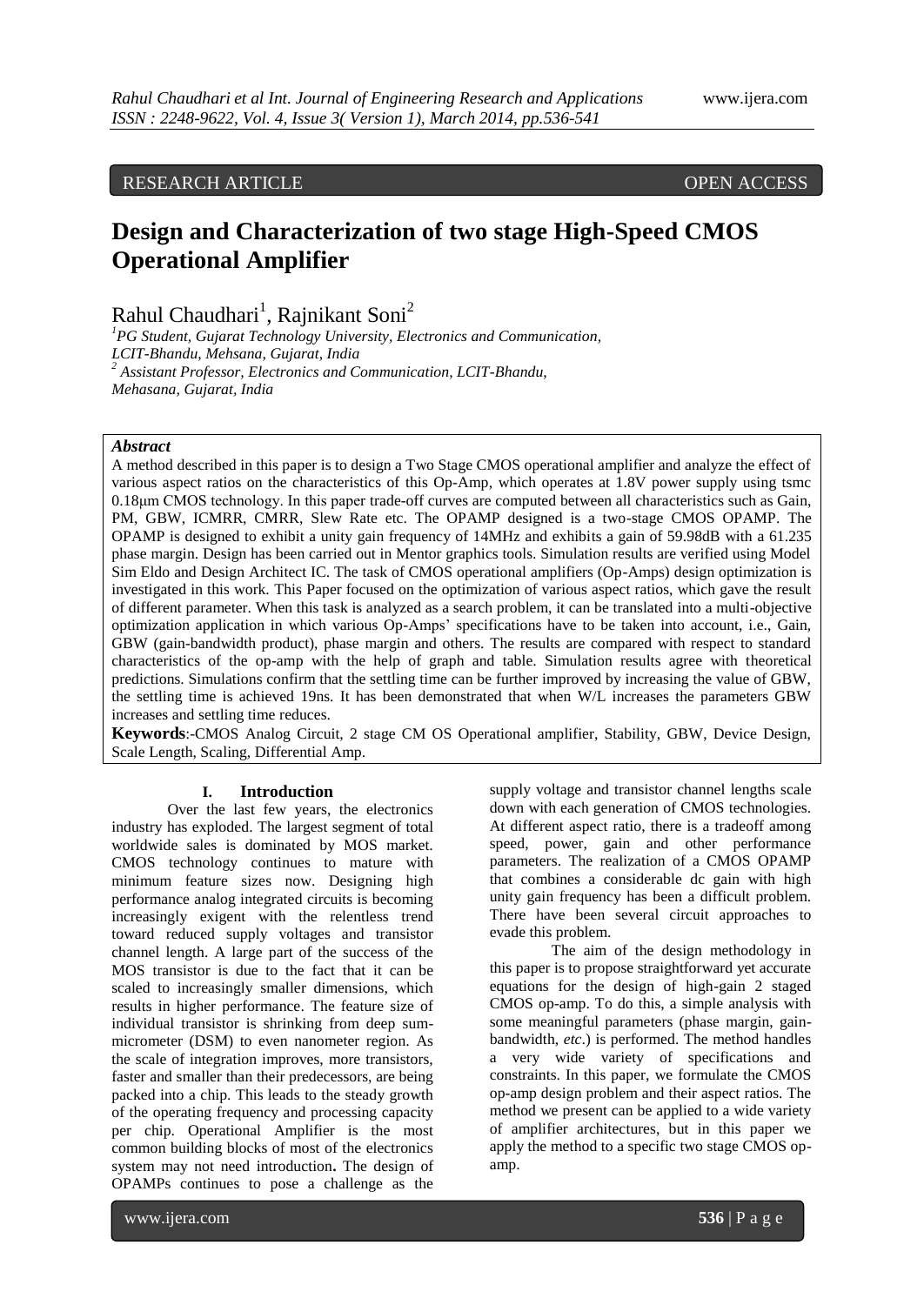# RESEARCH ARTICLE OPEN ACCESS

# **Design and Characterization of two stage High-Speed CMOS Operational Amplifier**

Rahul Chaudhari<sup>1</sup>, Rajnikant Soni<sup>2</sup>

*<sup>1</sup>PG Student, Gujarat Technology University, Electronics and Communication, LCIT-Bhandu, Mehsana, Gujarat, India <sup>2</sup> Assistant Professor, Electronics and Communication, LCIT-Bhandu, Mehasana, Gujarat, India*

# *Abstract*

A method described in this paper is to design a Two Stage CMOS operational amplifier and analyze the effect of various aspect ratios on the characteristics of this Op-Amp, which operates at 1.8V power supply using tsmc 0.18μm CMOS technology. In this paper trade-off curves are computed between all characteristics such as Gain, PM, GBW, ICMRR, CMRR, Slew Rate etc. The OPAMP designed is a two-stage CMOS OPAMP. The OPAMP is designed to exhibit a unity gain frequency of 14MHz and exhibits a gain of 59.98dB with a 61.235 phase margin. Design has been carried out in Mentor graphics tools. Simulation results are verified using Model Sim Eldo and Design Architect IC. The task of CMOS operational amplifiers (Op-Amps) design optimization is investigated in this work. This Paper focused on the optimization of various aspect ratios, which gave the result of different parameter. When this task is analyzed as a search problem, it can be translated into a multi-objective optimization application in which various Op-Amps' specifications have to be taken into account, i.e., Gain, GBW (gain-bandwidth product), phase margin and others. The results are compared with respect to standard characteristics of the op-amp with the help of graph and table. Simulation results agree with theoretical predictions. Simulations confirm that the settling time can be further improved by increasing the value of GBW, the settling time is achieved 19ns. It has been demonstrated that when W/L increases the parameters GBW increases and settling time reduces.

**Keywords**:-CMOS Analog Circuit, 2 stage CM OS Operational amplifier, Stability, GBW, Device Design, Scale Length, Scaling, Differential Amp.

#### **I. Introduction**

Over the last few years, the electronics industry has exploded. The largest segment of total worldwide sales is dominated by MOS market. CMOS technology continues to mature with minimum feature sizes now. Designing high performance analog integrated circuits is becoming increasingly exigent with the relentless trend toward reduced supply voltages and transistor channel length. A large part of the success of the MOS transistor is due to the fact that it can be scaled to increasingly smaller dimensions, which results in higher performance. The feature size of individual transistor is shrinking from deep summicrometer (DSM) to even nanometer region. As the scale of integration improves, more transistors, faster and smaller than their predecessors, are being packed into a chip. This leads to the steady growth of the operating frequency and processing capacity per chip. Operational Amplifier is the most common building blocks of most of the electronics system may not need introduction**.** The design of OPAMPs continues to pose a challenge as the

supply voltage and transistor channel lengths scale down with each generation of CMOS technologies. At different aspect ratio, there is a tradeoff among speed, power, gain and other performance parameters. The realization of a CMOS OPAMP that combines a considerable dc gain with high unity gain frequency has been a difficult problem. There have been several circuit approaches to evade this problem.

 The aim of the design methodology in this paper is to propose straightforward yet accurate equations for the design of high-gain 2 staged CMOS op-amp. To do this, a simple analysis with some meaningful parameters (phase margin, gainbandwidth, *etc*.) is performed. The method handles a very wide variety of specifications and constraints. In this paper, we formulate the CMOS op-amp design problem and their aspect ratios. The method we present can be applied to a wide variety of amplifier architectures, but in this paper we apply the method to a specific two stage CMOS opamp.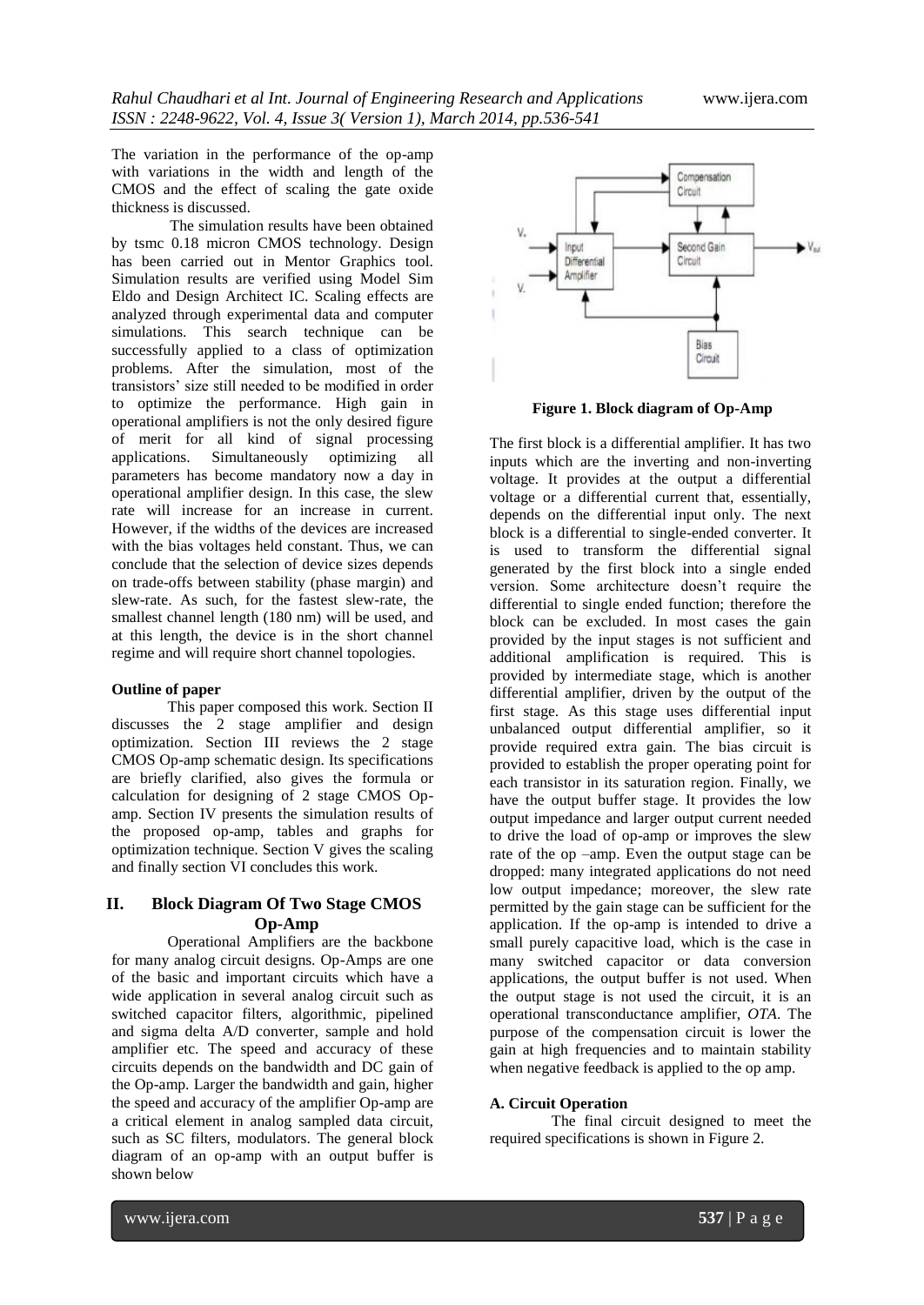The variation in the performance of the op-amp with variations in the width and length of the CMOS and the effect of scaling the gate oxide thickness is discussed.

 The simulation results have been obtained by tsmc 0.18 micron CMOS technology. Design has been carried out in Mentor Graphics tool. Simulation results are verified using Model Sim Eldo and Design Architect IC. Scaling effects are analyzed through experimental data and computer simulations. This search technique can be successfully applied to a class of optimization problems. After the simulation, most of the transistors' size still needed to be modified in order to optimize the performance. High gain in operational amplifiers is not the only desired figure of merit for all kind of signal processing applications. Simultaneously optimizing all parameters has become mandatory now a day in operational amplifier design. In this case, the slew rate will increase for an increase in current. However, if the widths of the devices are increased with the bias voltages held constant. Thus, we can conclude that the selection of device sizes depends on trade-offs between stability (phase margin) and slew-rate. As such, for the fastest slew-rate, the smallest channel length (180 nm) will be used, and at this length, the device is in the short channel regime and will require short channel topologies.

# **Outline of paper**

This paper composed this work. Section II discusses the 2 stage amplifier and design optimization. Section III reviews the 2 stage CMOS Op-amp schematic design. Its specifications are briefly clarified, also gives the formula or calculation for designing of 2 stage CMOS Opamp. Section IV presents the simulation results of the proposed op-amp, tables and graphs for optimization technique. Section V gives the scaling and finally section VI concludes this work.

# **II. Block Diagram Of Two Stage CMOS Op-Amp**

Operational Amplifiers are the backbone for many analog circuit designs. Op-Amps are one of the basic and important circuits which have a wide application in several analog circuit such as switched capacitor filters, algorithmic, pipelined and sigma delta A/D converter, sample and hold amplifier etc. The speed and accuracy of these circuits depends on the bandwidth and DC gain of the Op-amp. Larger the bandwidth and gain, higher the speed and accuracy of the amplifier Op-amp are a critical element in analog sampled data circuit, such as SC filters, modulators. The general block diagram of an op-amp with an output buffer is shown below



 **Figure 1. Block diagram of Op-Amp**

The first block is a differential amplifier. It has two inputs which are the inverting and non-inverting voltage. It provides at the output a differential voltage or a differential current that, essentially, depends on the differential input only. The next block is a differential to single-ended converter. It is used to transform the differential signal generated by the first block into a single ended version. Some architecture doesn't require the differential to single ended function; therefore the block can be excluded. In most cases the gain provided by the input stages is not sufficient and additional amplification is required. This is provided by intermediate stage, which is another differential amplifier, driven by the output of the first stage. As this stage uses differential input unbalanced output differential amplifier, so it provide required extra gain. The bias circuit is provided to establish the proper operating point for each transistor in its saturation region. Finally, we have the output buffer stage. It provides the low output impedance and larger output current needed to drive the load of op-amp or improves the slew rate of the op –amp. Even the output stage can be dropped: many integrated applications do not need low output impedance; moreover, the slew rate permitted by the gain stage can be sufficient for the application. If the op-amp is intended to drive a small purely capacitive load, which is the case in many switched capacitor or data conversion applications, the output buffer is not used. When the output stage is not used the circuit, it is an operational transconductance amplifier, *OTA*. The purpose of the compensation circuit is lower the gain at high frequencies and to maintain stability when negative feedback is applied to the op amp.

# **A. Circuit Operation**

 The final circuit designed to meet the required specifications is shown in Figure 2.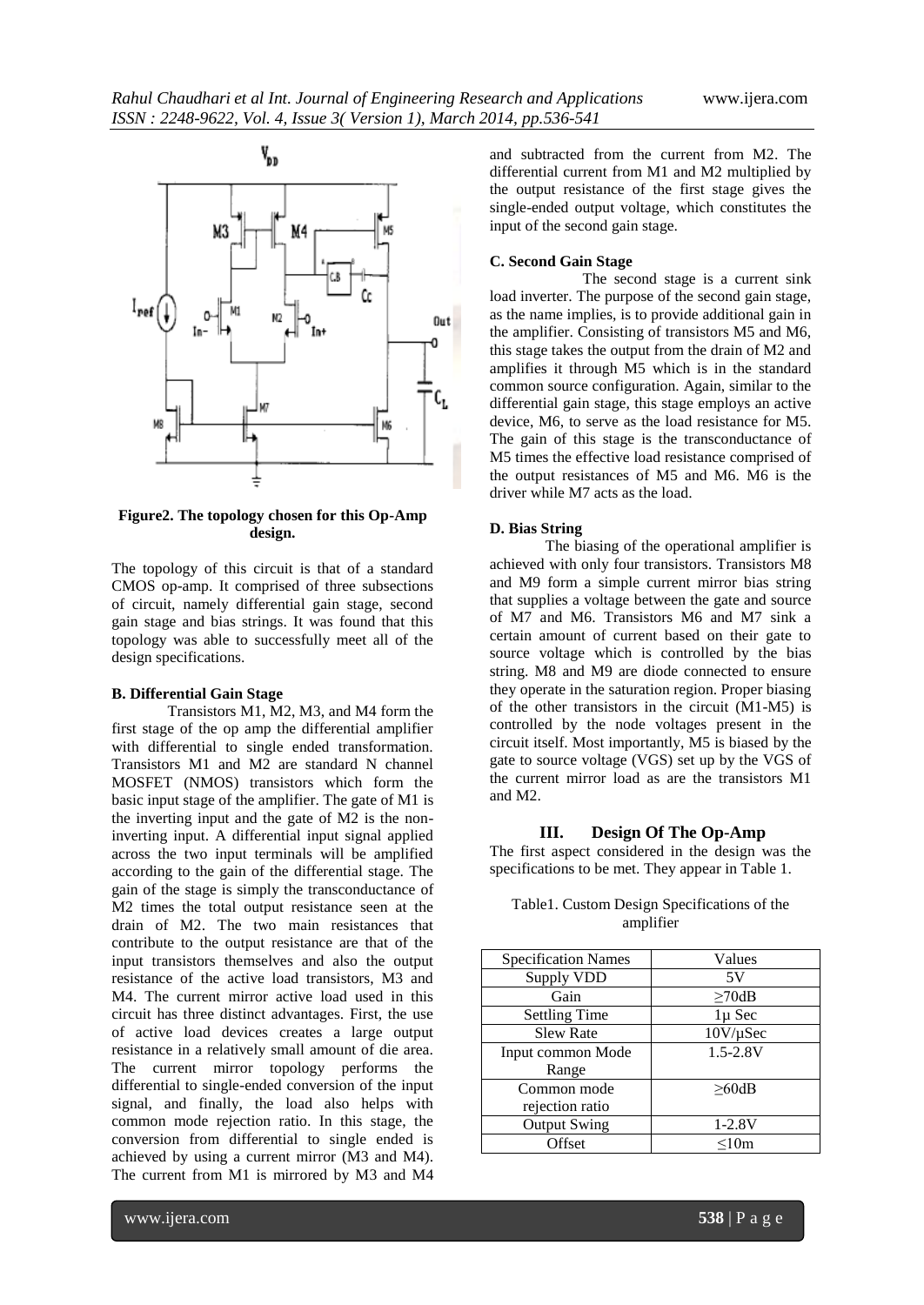

**Figure2. The topology chosen for this Op-Amp design.**

The topology of this circuit is that of a standard CMOS op-amp. It comprised of three subsections of circuit, namely differential gain stage, second gain stage and bias strings. It was found that this topology was able to successfully meet all of the design specifications.

# **B. Differential Gain Stage**

Transistors M1, M2, M3, and M4 form the first stage of the op amp the differential amplifier with differential to single ended transformation. Transistors M1 and M2 are standard N channel MOSFET (NMOS) transistors which form the basic input stage of the amplifier. The gate of M1 is the inverting input and the gate of M2 is the noninverting input. A differential input signal applied across the two input terminals will be amplified according to the gain of the differential stage. The gain of the stage is simply the transconductance of M2 times the total output resistance seen at the drain of M2. The two main resistances that contribute to the output resistance are that of the input transistors themselves and also the output resistance of the active load transistors, M3 and M4. The current mirror active load used in this circuit has three distinct advantages. First, the use of active load devices creates a large output resistance in a relatively small amount of die area. The current mirror topology performs the differential to single-ended conversion of the input signal, and finally, the load also helps with common mode rejection ratio. In this stage, the conversion from differential to single ended is achieved by using a current mirror (M3 and M4). The current from M1 is mirrored by M3 and M4

and subtracted from the current from M2. The differential current from M1 and M2 multiplied by the output resistance of the first stage gives the single-ended output voltage, which constitutes the input of the second gain stage.

# **C. Second Gain Stage**

The second stage is a current sink load inverter. The purpose of the second gain stage, as the name implies, is to provide additional gain in the amplifier. Consisting of transistors M5 and M6, this stage takes the output from the drain of M2 and amplifies it through M5 which is in the standard common source configuration. Again, similar to the differential gain stage, this stage employs an active device, M6, to serve as the load resistance for M5. The gain of this stage is the transconductance of M5 times the effective load resistance comprised of the output resistances of M5 and M6. M6 is the driver while M7 acts as the load.

#### **D. Bias String**

The biasing of the operational amplifier is achieved with only four transistors. Transistors M8 and M9 form a simple current mirror bias string that supplies a voltage between the gate and source of M7 and M6. Transistors M6 and M7 sink a certain amount of current based on their gate to source voltage which is controlled by the bias string. M8 and M9 are diode connected to ensure they operate in the saturation region. Proper biasing of the other transistors in the circuit (M1-M5) is controlled by the node voltages present in the circuit itself. Most importantly, M5 is biased by the gate to source voltage (VGS) set up by the VGS of the current mirror load as are the transistors M1 and M2.

# **III. Design Of The Op-Amp**

The first aspect considered in the design was the specifications to be met. They appear in Table 1.

| <b>Specification Names</b> | Values        |
|----------------------------|---------------|
| Supply VDD                 | 5V            |
| Gain                       | $\geq$ 70dB   |
| <b>Settling Time</b>       | 1µ Sec        |
| <b>Slew Rate</b>           | $10V/\mu$ Sec |
| Input common Mode          | $1.5 - 2.8V$  |
| Range                      |               |
| Common mode                | >60dB         |
| rejection ratio            |               |
| <b>Output Swing</b>        | $1 - 2.8V$    |
| Offset                     | < 10m         |

# Table1. Custom Design Specifications of the amplifier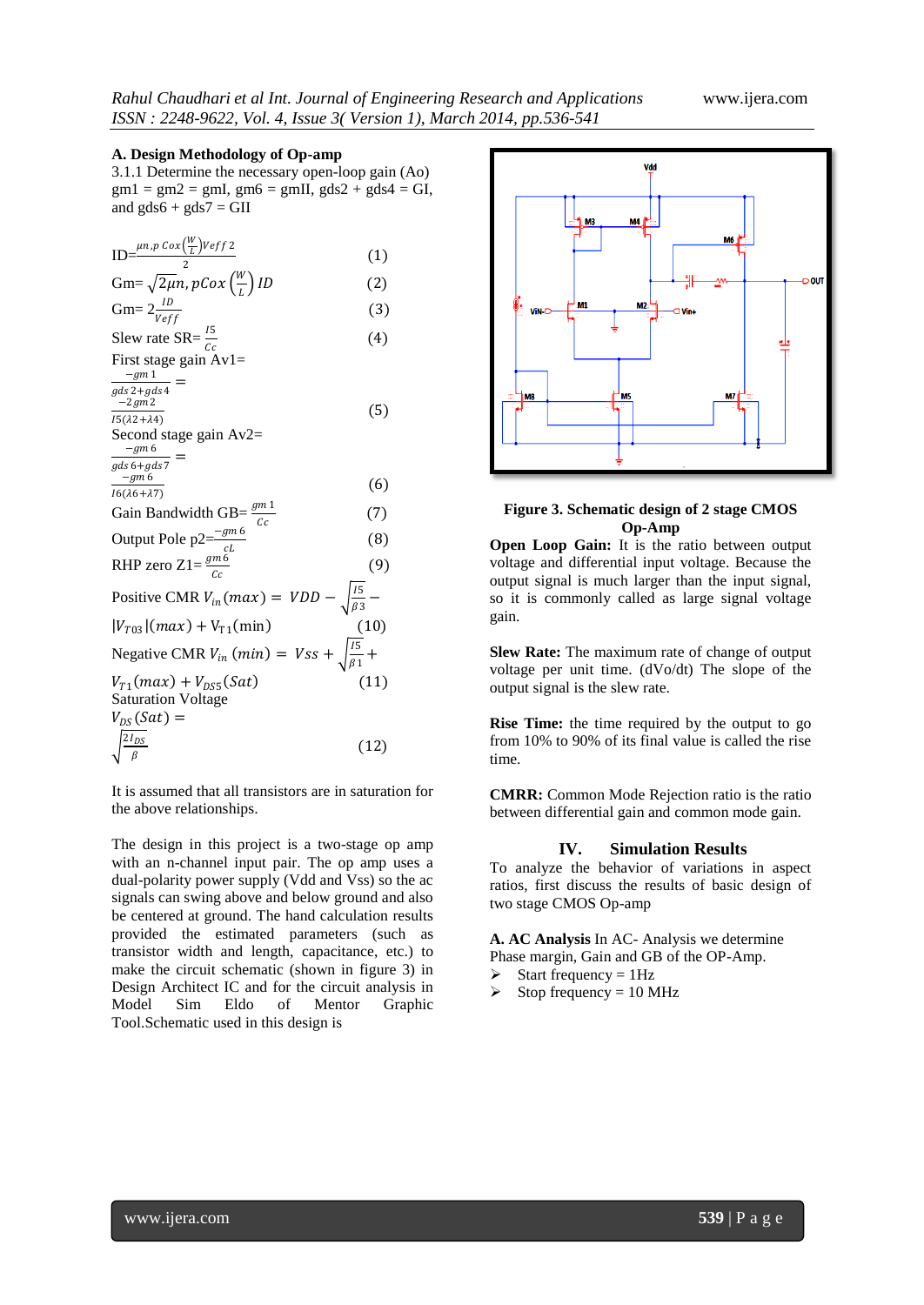# **A. Design Methodology of Op-amp**

3.1.1 Determine the necessary open-loop gain (Ao)  $gm1 = gm2 = gmI, gm6 = gmII, gds2 + gds4 = GI,$ and  $gds6 + gds7 = GII$ 

|                                                                                                                                                | (1)  |
|------------------------------------------------------------------------------------------------------------------------------------------------|------|
| ID= $\frac{\mu n.p \cos(\frac{W}{L})Veff 2}{2}$<br>Gm= $\sqrt{2\mu}n$ , pCox $(\frac{W}{L})$ ID                                                | (2)  |
| Gm= $2 \frac{ID}{Veff}$                                                                                                                        | (3)  |
| Slew rate SR= $\frac{15}{C_2}$                                                                                                                 | (4)  |
| First stage gain $Av1=$                                                                                                                        |      |
| $-gm1$<br>$gds 2+gds 4$                                                                                                                        |      |
| $-2gm2$                                                                                                                                        | (5)  |
| $\overline{I5(\lambda 2+\lambda 4)}$                                                                                                           |      |
| Second stage gain $Av2=$<br>$-gm$ 6                                                                                                            |      |
| $_{gds}$ 6+gds 7                                                                                                                               |      |
| $-gm$ 6                                                                                                                                        | (6)  |
| $I6(\lambda6+\lambda7)$                                                                                                                        | (7)  |
| Gain Bandwidth GB= $\frac{gm1}{Cc}$<br>Output Pole p2= $\frac{-gm6}{c}$<br>RHP zero Z1= $\frac{gm6}{cc}$                                       | (8)  |
|                                                                                                                                                | (9)  |
|                                                                                                                                                |      |
| Positive CMR $V_{in}(max) = VDD - \sqrt{\frac{15}{\beta^3}} -$                                                                                 |      |
|                                                                                                                                                |      |
| Negative CMR $V_{in}$ (min) $= Vss + \sqrt{\frac{15}{\beta 1}} +$<br>$V_{T1}(m\alpha x) = V - \frac{15}{\beta 1} + V = \frac{15}{\beta 1} + V$ |      |
| $V_{T1}(max) + V_{DSS}(Sat)$                                                                                                                   | (11) |
| <b>Saturation Voltage</b>                                                                                                                      |      |
| $V_{DS}(Sat) =$                                                                                                                                |      |
| $\sqrt{\frac{2I_{DS}}{\beta}}$                                                                                                                 | (12) |
|                                                                                                                                                |      |

It is assumed that all transistors are in saturation for the above relationships.

The design in this project is a two-stage op amp with an n-channel input pair. The op amp uses a dual-polarity power supply (Vdd and Vss) so the ac signals can swing above and below ground and also be centered at ground. The hand calculation results provided the estimated parameters (such as transistor width and length, capacitance, etc.) to make the circuit schematic (shown in figure 3) in Design Architect IC and for the circuit analysis in Model Sim Eldo of Mentor Graphic Tool.Schematic used in this design is



# **Figure 3. Schematic design of 2 stage CMOS Op-Amp**

**Open Loop Gain:** It is the ratio between output voltage and differential input voltage. Because the output signal is much larger than the input signal, so it is commonly called as large signal voltage gain.

**Slew Rate:** The maximum rate of change of output voltage per unit time. (dVo/dt) The slope of the output signal is the slew rate.

**Rise Time:** the time required by the output to go from 10% to 90% of its final value is called the rise time.

**CMRR:** Common Mode Rejection ratio is the ratio between differential gain and common mode gain.

# **IV. Simulation Results**

To analyze the behavior of variations in aspect ratios, first discuss the results of basic design of two stage CMOS Op-amp

**A. AC Analysis** In AC- Analysis we determine Phase margin, Gain and GB of the OP-Amp.

- $\triangleright$  Start frequency = 1Hz
- $\triangleright$  Stop frequency = 10 MHz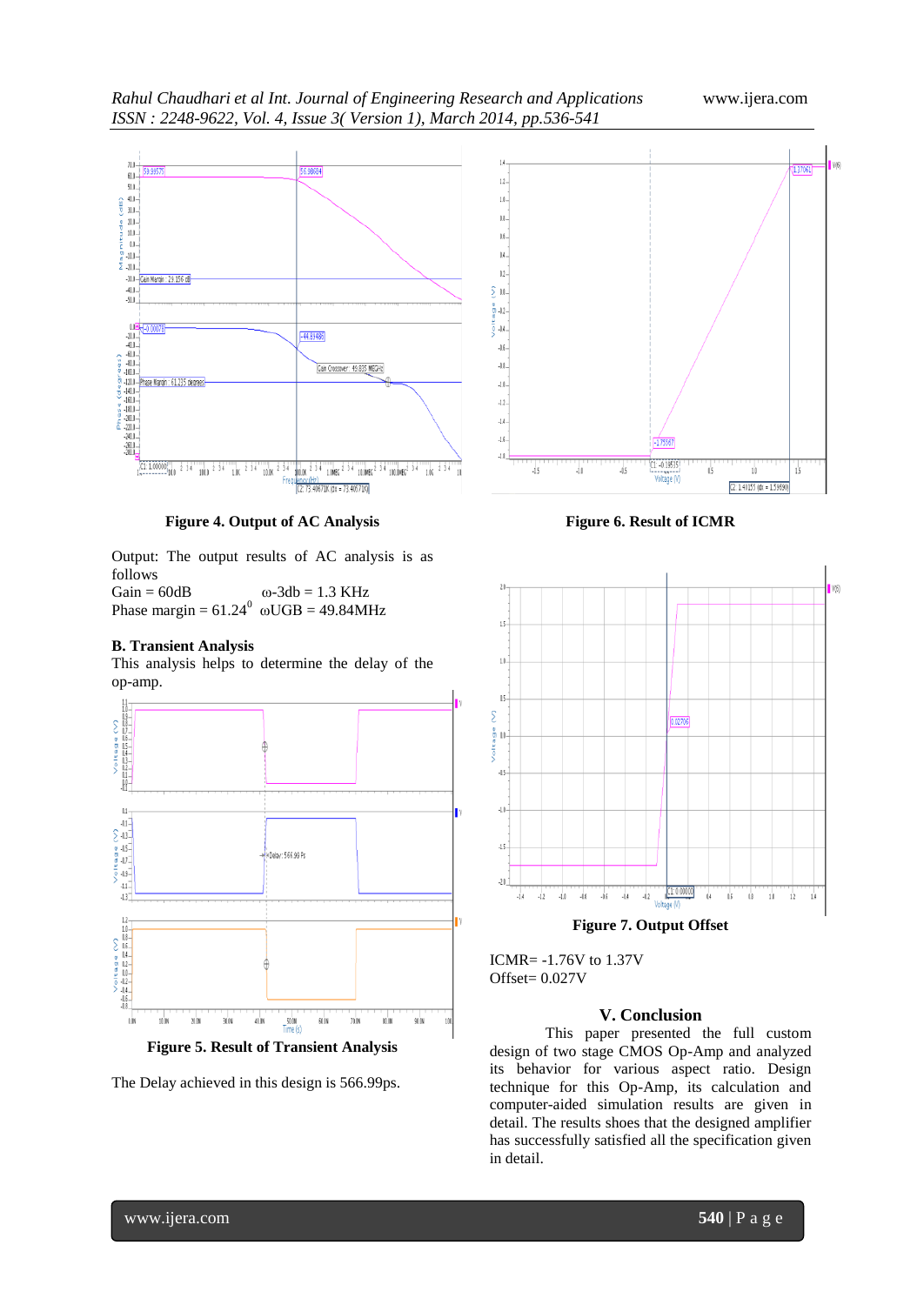

**Figure 4. Output of AC Analysis**

10.00

dní ne

Fred

-44.89486

Gain Crossover: 49.835 MEGHz

 $234$  1 maps  $234$  10 maps  $^2$ 

 $(2: 73, 40671K)$  (dx = 73,40571K)

3 4 100.0MEG<sup>2</sup> 3 4

 $1.06 - 2.34$ 

 $\overline{11}$ 

Output: The output results of AC analysis is as follows

Gain =  $60dB$   $\omega - 3db = 1.3 \text{ KHz}$ Phase margin =  $61.24^{\circ}$  ωUGB = 49.84MHz

 $1.0K$   $2.34$ 

# **B. Transient Analysis**

 $60.0 -$ 

 $50.0 \begin{array}{c} 40.0 - \\ 30.0 - \end{array}$ 

 $20.0 \frac{10.0}{0.0}$ 

 $-10.0$  $\Sigma$  -20.1.

 $-50.0$ 

 $\mathbf{u}$ 

 $-20.0$  $\begin{bmatrix} -20.0 & -1 \\ -40.0 & -1 \\ -60.0 & -1 \\ 0 & -80.0 & -1 \\ 0 & 0 & 0 \\ -100.0 & -1 \\ 0 & 0 & 0 \\ 0 & 0 & 0 \\ 0 & 0 & 0 \\ 0 & 0 & 0 \\ 0 & 0 & 0 \\ 0 & 0 & 0 \\ 0 & 0 & 0 \\ 0 & 0 & 0 \\ 0 & 0 & 0 \\ 0 & 0 & 0 \\ 0 & 0 & 0 \\ 0 & 0 & 0 \\ 0 & 0 & 0 \\ 0 & 0 & 0 \\ 0 & 0 & 0 \\ 0 & 0 & 0 \\ 0 & 0 & 0 \\ 0 &$ 

 $\begin{array}{c}\n 0.100 \\
-0.120 \\
-0.140 \\
-0.160 \\
-0.00\n \end{array}$ 

 $-220.0$  $-240.0$ 

 $-260.0$ <br> $-280.0$ 

-30.0-Gain Margin: 29.156 dB  $-40.0$ 

Phase Margin: 61.235 degree

 $100000$ <sup>1</sup>

 $100.0 \t234$ 

(ais)

This analysis helps to determine the delay of the op-amp.



**Figure 5. Result of Transient Analysis**

The Delay achieved in this design is 566.99ps.

**Figure 6. Result of ICMR**



ICMR= -1.76V to 1.37V

# Offset= 0.027V

# **V. Conclusion**

This paper presented the full custom design of two stage CMOS Op-Amp and analyzed its behavior for various aspect ratio. Design technique for this Op-Amp, its calculation and computer-aided simulation results are given in detail. The results shoes that the designed amplifier has successfully satisfied all the specification given in detail.